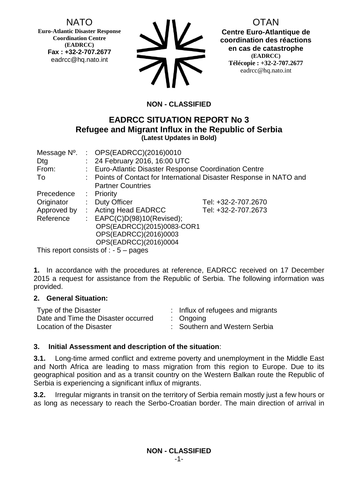NATO

**Euro-Atlantic Disaster Response Coordination Centre (EADRCC) Fax : +32-2-707.2677** eadrcc@hq.nato.int



OTAN **Centre Euro-Atlantique de coordination des réactions en cas de catastrophe (EADRCC) Télécopie : +32-2-707.2677** eadrcc@hq.nato.int

# **NON - CLASSIFIED**

# **EADRCC SITUATION REPORT No 3 Refugee and Migrant Influx in the Republic of Serbia (Latest Updates in Bold)**

| Message N°. |    | : $OPS(EADRCC)(2016)0010$                                           |                     |  |
|-------------|----|---------------------------------------------------------------------|---------------------|--|
| Dtg         |    | : 24 February 2016, 16:00 UTC                                       |                     |  |
| From:       |    | : Euro-Atlantic Disaster Response Coordination Centre               |                     |  |
| To          |    | : Points of Contact for International Disaster Response in NATO and |                     |  |
|             |    | <b>Partner Countries</b>                                            |                     |  |
| Precedence  |    | $:$ Priority                                                        |                     |  |
| Originator  | t. | <b>Duty Officer</b>                                                 | Tel: +32-2-707.2670 |  |
| Approved by |    | : Acting Head EADRCC                                                | Tel: +32-2-707.2673 |  |
| Reference   |    | : $EAPC(C)D(98)10(Revised);$                                        |                     |  |
|             |    | OPS(EADRCC)(2015)0083-COR1                                          |                     |  |
|             |    | OPS(EADRCC)(2016)0003                                               |                     |  |
|             |    | OPS(EADRCC)(2016)0004                                               |                     |  |
|             |    | This report consists of $F$ pogges                                  |                     |  |

This report consists of : - 5 – pages

**1.** In accordance with the procedures at reference, EADRCC received on 17 December 2015 a request for assistance from the Republic of Serbia. The following information was provided.

## **2. General Situation:**

| Type of the Disaster                | : Influx of refugees and migrants |
|-------------------------------------|-----------------------------------|
| Date and Time the Disaster occurred | $:$ Ongoing                       |
| Location of the Disaster            | : Southern and Western Serbia     |

## **3. Initial Assessment and description of the situation**:

**3.1.** Long-time armed conflict and extreme poverty and unemployment in the Middle East and North Africa are leading to mass migration from this region to Europe. Due to its geographical position and as a transit country on the Western Balkan route the Republic of Serbia is experiencing a significant influx of migrants.

**3.2.** Irregular migrants in transit on the territory of Serbia remain mostly just a few hours or as long as necessary to reach the Serbo-Croatian border. The main direction of arrival in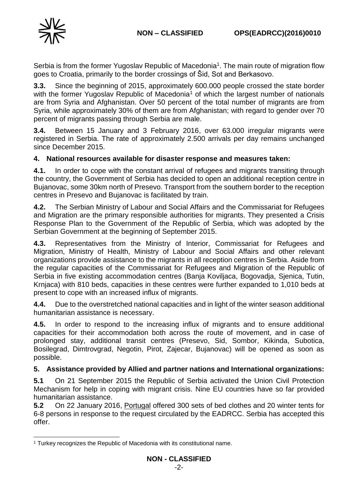

Serbia is from the former Yugoslav Republic of Macedonia<sup>1</sup>. The main route of migration flow goes to Croatia, primarily to the border crossings of Šid, Sot and Berkasovo.

**3.3.** Since the beginning of 2015, approximately 600.000 people crossed the state border with the former Yugoslav Republic of Macedonia<sup>1</sup> of which the largest number of nationals are from Syria and Afghanistan. Over 50 percent of the total number of migrants are from Syria, while approximately 30% of them are from Afghanistan; with regard to gender over 70 percent of migrants passing through Serbia are male.

**3.4.** Between 15 January and 3 February 2016, over 63.000 irregular migrants were registered in Serbia. The rate of approximately 2.500 arrivals per day remains unchanged since December 2015.

### **4. National resources available for disaster response and measures taken:**

**4.1.** In order to cope with the constant arrival of refugees and migrants transiting through the country, the Government of Serbia has decided to open an additional reception centre in Bujanovac, some 30km north of Presevo. Transport from the southern border to the reception centres in Presevo and Bujanovac is facilitated by train.

**4.2.** The Serbian Ministry of Labour and Social Affairs and the Commissariat for Refugees and Migration are the primary responsible authorities for migrants. They presented a Crisis Response Plan to the Government of the Republic of Serbia, which was adopted by the Serbian Government at the beginning of September 2015.

**4.3.** Representatives from the Ministry of Interior, Commissariat for Refugees and Migration, Ministry of Health, Ministry of Labour and Social Affairs and other relevant organizations provide assistance to the migrants in all reception centres in Serbia. Aside from the regular capacities of the Commissariat for Refugees and Migration of the Republic of Serbia in five existing accommodation centres (Banja Koviljaca, Bogovadja, Sjenica, Tutin, Krnjaca) with 810 beds, capacities in these centres were further expanded to 1,010 beds at present to cope with an increased influx of migrants.

**4.4.** Due to the overstretched national capacities and in light of the winter season additional humanitarian assistance is necessary.

**4.5.** In order to respond to the increasing influx of migrants and to ensure additional capacities for their accommodation both across the route of movement, and in case of prolonged stay, additional transit centres (Presevo, Sid, Sombor, Kikinda, Subotica, Bosilegrad, Dimtrovgrad, Negotin, Pirot, Zajecar, Bujanovac) will be opened as soon as possible.

#### **5. Assistance provided by Allied and partner nations and International organizations:**

**5.1** On 21 September 2015 the Republic of Serbia activated the Union Civil Protection Mechanism for help in coping with migrant crisis. Nine EU countries have so far provided humanitarian assistance.

**5.2** On 22 January 2016, Portugal offered 300 sets of bed clothes and 20 winter tents for 6-8 persons in response to the request circulated by the EADRCC. Serbia has accepted this offer.

<sup>1</sup> <sup>1</sup> Turkey recognizes the Republic of Macedonia with its constitutional name.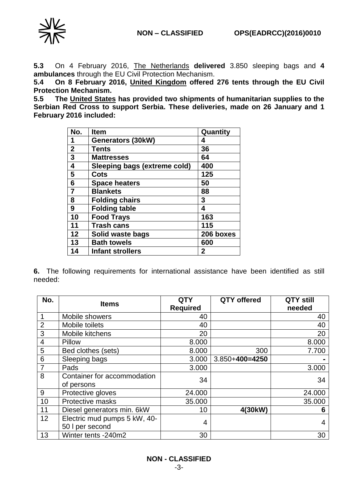

**5.3** On 4 February 2016, The Netherlands **delivered** 3.850 sleeping bags and **4 ambulances** through the EU Civil Protection Mechanism.

**5.4 On 8 February 2016, United Kingdom offered 276 tents through the EU Civil Protection Mechanism.** 

**5.5 The United States has provided two shipments of humanitarian supplies to the Serbian Red Cross to support Serbia. These deliveries, made on 26 January and 1 February 2016 included:**

| No.            | <b>Item</b>                         | Quantity     |
|----------------|-------------------------------------|--------------|
| 1              | Generators (30kW)                   | 4            |
| $\mathbf 2$    | <b>Tents</b>                        | 36           |
| 3              | <b>Mattresses</b>                   | 64           |
| 4              | <b>Sleeping bags (extreme cold)</b> | 400          |
| 5              | Cots                                | 125          |
| 6              | <b>Space heaters</b>                | 50           |
| $\overline{7}$ | <b>Blankets</b>                     | 88           |
| 8              | <b>Folding chairs</b>               | 3            |
| 9              | <b>Folding table</b>                | 4            |
| 10             | <b>Food Trays</b>                   | 163          |
| 11             | <b>Trash cans</b>                   | 115          |
| 12             | Solid waste bags                    | 206 boxes    |
| 13             | <b>Bath towels</b>                  | 600          |
| 14             | <b>Infant strollers</b>             | $\mathbf{2}$ |

**6.** The following requirements for international assistance have been identified as still needed:

| No.            | <b>Items</b>                 | <b>QTY</b>      | <b>QTY</b> offered   | <b>QTY still</b> |
|----------------|------------------------------|-----------------|----------------------|------------------|
|                |                              | <b>Required</b> |                      | needed           |
|                | Mobile showers               | 40              |                      | 40               |
| $\overline{2}$ | Mobile toilets               | 40              |                      | 40               |
| 3              | Mobile kitchens              | 20              |                      | 20               |
| $\overline{4}$ | Pillow                       | 8.000           |                      | 8.000            |
| 5              | Bed clothes (sets)           | 8.000           | 300                  | 7.700            |
| 6              | Sleeping bags                | 3.000           | $3.850 + 400 = 4250$ |                  |
| $\overline{7}$ | Pads                         | 3.000           |                      | 3.000            |
| 8              | Container for accommodation  | 34              |                      | 34               |
|                | of persons                   |                 |                      |                  |
| 9              | Protective gloves            | 24.000          |                      | 24.000           |
| 10             | Protective masks             | 35.000          |                      | 35.000           |
| 11             | Diesel generators min. 6kW   | 10              | 4(30kW)              | 6                |
| 12             | Electric mud pumps 5 kW, 40- | 4               |                      | 4                |
|                | 50 I per second              |                 |                      |                  |
| 13             | Winter tents -240m2          | 30              |                      | 30               |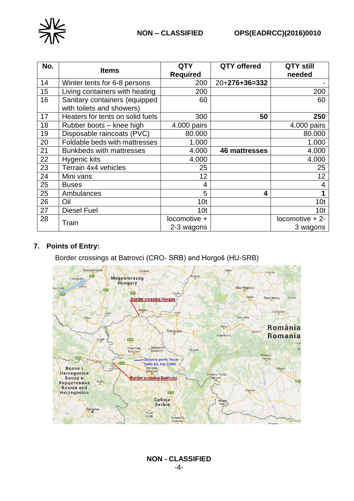

| No. | <b>Items</b>                     | <b>QTY</b>      | <b>QTY offered</b>   | QTY still       |
|-----|----------------------------------|-----------------|----------------------|-----------------|
|     |                                  | <b>Required</b> |                      | needed          |
| 14  | Winter tents for 6-8 persons     | 200             | $20+276+36=332$      |                 |
| 15  | Living containers with heating   | 200             |                      | 200             |
| 16  | Sanitary containers (equipped    | 60              |                      | 60              |
|     | with toilets and showers)        |                 |                      |                 |
| 17  | Heaters for tents on solid fuels | 300             | 50                   | 250             |
| 18  | Rubber boots - knee high         | 4.000 pairs     |                      | 4.000 pairs     |
| 19  | Disposable raincoats (PVC)       | 80.000          |                      | 80.000          |
| 20  | Foldable beds with mattresses    | 1.000           |                      | 1.000           |
| 21  | <b>Bunkbeds with mattresses</b>  | 4.000           | <b>46 mattresses</b> | 4.000           |
| 22  | Hygenic kits                     | 4.000           |                      | 4.000           |
| 23  | Terrain 4x4 vehicles             | 25              |                      | 25              |
| 24  | Mini vans                        | 12              |                      | 12              |
| 25  | <b>Buses</b>                     | 4               |                      | 4               |
| 25  | Ambulances                       | 5               | 4                    |                 |
| 26  | Oil                              | 10 <sub>t</sub> |                      | 10 <sub>t</sub> |
| 27  | Diesel Fuel                      | 10 <sub>t</sub> |                      | 10 <sub>t</sub> |
| 28  |                                  | locomotive +    |                      | locomotive + 2- |
|     | Train                            | 2-3 wagons      |                      | 3 wagons        |

# **7. Points of Entry:**

Border crossings at Batrovci (CRO- SRB) and Horgoš (HU-SRB)